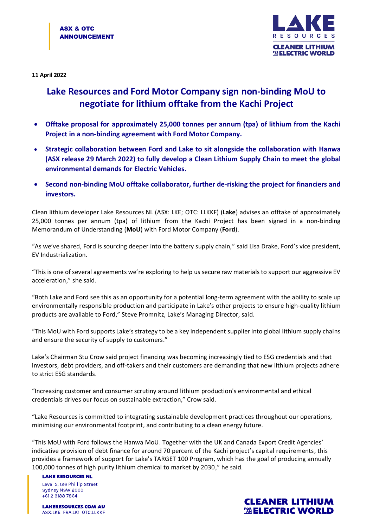

**11 April 2022**

## **Lake Resources and Ford Motor Company sign non-binding MoU to negotiate for lithium offtake from the Kachi Project**

- **Offtake proposal for approximately 25,000 tonnes per annum (tpa) of lithium from the Kachi Project in a non-binding agreement with Ford Motor Company.**
- **Strategic collaboration between Ford and Lake to sit alongside the collaboration with Hanwa (ASX release 29 March 2022) to fully develop a Clean Lithium Supply Chain to meet the global environmental demands for Electric Vehicles.**
- **Second non-binding MoU offtake collaborator, further de-risking the project for financiers and investors.**

Clean lithium developer Lake Resources NL (ASX: LKE; OTC: LLKKF) (**Lake**) advises an offtake of approximately 25,000 tonnes per annum (tpa) of lithium from the Kachi Project has been signed in a non-binding Memorandum of Understanding (**MoU**) with Ford Motor Company (**Ford**).

"As we've shared, Ford is sourcing deeper into the battery supply chain," said Lisa Drake, Ford's vice president, EV Industrialization.

"This is one of several agreements we're exploring to help us secure raw materials to support our aggressive EV acceleration," she said.

"Both Lake and Ford see this as an opportunity for a potential long-term agreement with the ability to scale up environmentally responsible production and participate in Lake's other projects to ensure high-quality lithium products are available to Ford," Steve Promnitz, Lake's Managing Director, said.

"This MoU with Ford supports Lake's strategy to be a key independent supplier into global lithium supply chains and ensure the security of supply to customers."

Lake's Chairman Stu Crow said project financing was becoming increasingly tied to ESG credentials and that investors, debt providers, and off-takers and their customers are demanding that new lithium projects adhere to strict ESG standards.

"Increasing customer and consumer scrutiny around lithium production's environmental and ethical credentials drives our focus on sustainable extraction," Crow said.

"Lake Resources is committed to integrating sustainable development practices throughout our operations, minimising our environmental footprint, and contributing to a clean energy future.

"This MoU with Ford follows the Hanwa MoU. Together with the UK and Canada Export Credit Agencies' indicative provision of debt finance for around 70 percent of the Kachi project's capital requirements, this provides a framework of support for Lake's TARGET 100 Program, which has the goal of producing annually 100,000 tonnes of high purity lithium chemical to market by 2030," he said.

**LAKE RESOURCES NL** Level 5, 126 Phillip Street Sydney NSW 2000 +61 2 9188 7864

**LAKERESOURCES.COM.AU** ASX:LKE FRA:LK1 OTC:LLKKF

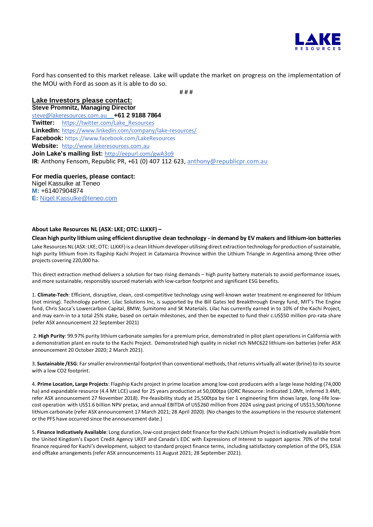

Ford has consented to this market release. Lake will update the market on progress on the implementation of the MOU with Ford as soon as it is able to do so.

# # #

**Lake Investors please contact: Steve Promnitz, Managing Director** [steve@lakeresources.com.au](mailto:steve@lakeresources.com.au) **+61 2 9188 7864 Twitter:** [https://twitter.com/Lake\\_Resources](https://twitter.com/Lake_Resources) **LinkedIn:** <https://www.linkedin.com/company/lake-resources/> **Facebook:** https://www.facebook.com/LakeResources **Website:** [http://www.lakeresources.com.au](http://www.lakeresources.com.au/) **Join Lake's mailing list:** <http://eepurl.com/gwA3o9> **IR**: Anthony Fensom, Republic PR, +61 (0) 407 112 623, [anthony@republicpr.com.au](mailto:anthony@republicpr.com.au)

**For media queries, please contact:** Nigel Kassulke at Teneo **M:** +61407904874 **E:** [Nigel.Kassulke@teneo.com](mailto:Nigel.Kassulke@teneo.com)

## **About Lake Resources NL (ASX: LKE; OTC: LLKKF) –**

**Clean high purity lithium using efficient disruptive clean technology - in demand by EV makers and lithium-ion batteries** Lake Resources NL (ASX: LKE;OTC: LLKKF) is a clean lithium developer utilising direct extraction technology for production of sustainable, high purity lithium from its flagship Kachi Project in Catamarca Province within the Lithium Triangle in Argentina among three other projects covering 220,000 ha.

This direct extraction method delivers a solution for two rising demands – high purity battery materials to avoid performance issues, and more sustainable, responsibly sourced materials with low-carbon footprint and significant ESG benefits.

1. **Climate-Tech**: Efficient, disruptive, clean, cost-competitive technology using well-known water treatment re-engineered for lithium (not mining). Technology partner, Lilac Solutions Inc, is supported by the Bill Gates led Breakthrough Energy fund, MIT's The Engine fund, Chris Sacca's Lowercarbon Capital, BMW, Sumitomo and SK Materials. Lilac has currently earned in to 10% of the Kachi Project, and may earn-in to a total 25% stake, based on certain milestones, and then be expected to fund their c.US\$50 million pro-rata share (refer ASX announcement 22 September 2021)

2. **High Purity**: 99.97% purity lithium carbonate samples for a premium price, demonstrated in pilot plant operations in California with a demonstration plant en route to the Kachi Project. Demonstrated high quality in nickel rich NMC622 lithium-ion batteries (refer ASX announcement 20 October 2020; 2 March 2021).

3. **Sustainable /ESG**: Far smaller environmental footprint than conventional methods, that returns virtually all water (brine) to its source with a low CO2 footprint.

4. **Prime Location, Large Projects**: Flagship Kachi project in prime location among low-cost producers with a large lease holding (74,000 ha) and expandable resource (4.4 Mt LCE) used for 25 years production at 50,000tpa (JORC Resource: Indicated 1.0Mt, inferred 3.4Mt, refer ASX announcement 27 November 2018). Pre-feasibility study at 25,500tpa by tier 1 engineering firm shows large, long-life lowcost operation with US\$1.6 billion NPV pretax, and annual EBITDA of US\$260 million from 2024 using past pricing of US\$15,500/tonne lithium carbonate (refer ASX announcement 17 March 2021; 28 April 2020). (No changes to the assumptions in the resource statement or the PFS have occurred since the announcement date.)

5. **Finance Indicatively Available**: Long duration, low-cost project debt finance for the Kachi Lithium Project is indicatively available from the United Kingdom's Export Credit Agency UKEF and Canada's EDC with Expressions of Interest to support approx. 70% of the total finance required for Kachi's development, subject to standard project finance terms, including satisfactory completion of the DFS, ESIA and offtake arrangements (refer ASX announcements 11 August 2021; 28 September 2021).